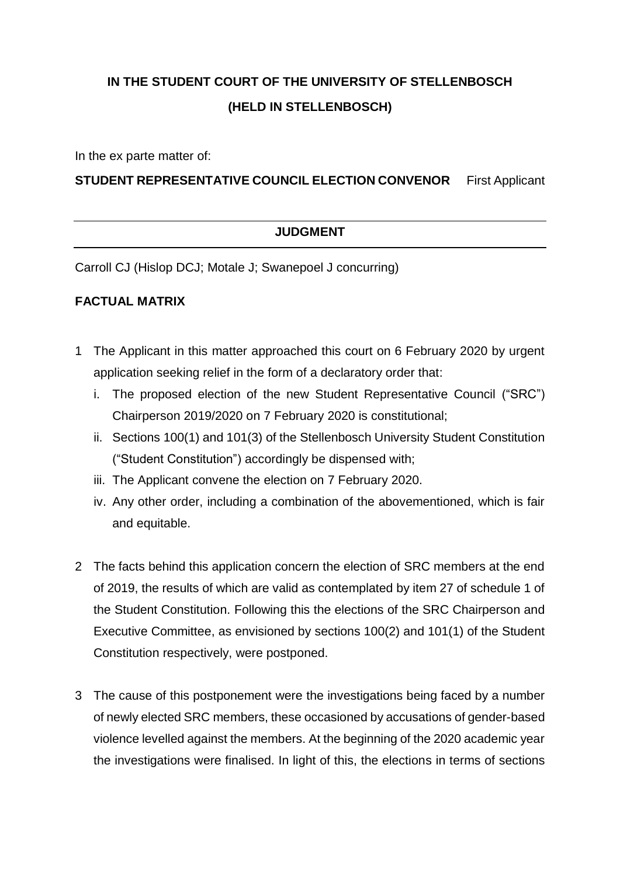# **IN THE STUDENT COURT OF THE UNIVERSITY OF STELLENBOSCH (HELD IN STELLENBOSCH)**

In the ex parte matter of:

#### **STUDENT REPRESENTATIVE COUNCIL ELECTION CONVENOR** First Applicant

#### **JUDGMENT**

Carroll CJ (Hislop DCJ; Motale J; Swanepoel J concurring)

#### **FACTUAL MATRIX**

- 1 The Applicant in this matter approached this court on 6 February 2020 by urgent application seeking relief in the form of a declaratory order that:
	- i. The proposed election of the new Student Representative Council ("SRC") Chairperson 2019/2020 on 7 February 2020 is constitutional;
	- ii. Sections 100(1) and 101(3) of the Stellenbosch University Student Constitution ("Student Constitution") accordingly be dispensed with;
	- iii. The Applicant convene the election on 7 February 2020.
	- iv. Any other order, including a combination of the abovementioned, which is fair and equitable.
- 2 The facts behind this application concern the election of SRC members at the end of 2019, the results of which are valid as contemplated by item 27 of schedule 1 of the Student Constitution. Following this the elections of the SRC Chairperson and Executive Committee, as envisioned by sections 100(2) and 101(1) of the Student Constitution respectively, were postponed.
- 3 The cause of this postponement were the investigations being faced by a number of newly elected SRC members, these occasioned by accusations of gender-based violence levelled against the members. At the beginning of the 2020 academic year the investigations were finalised. In light of this, the elections in terms of sections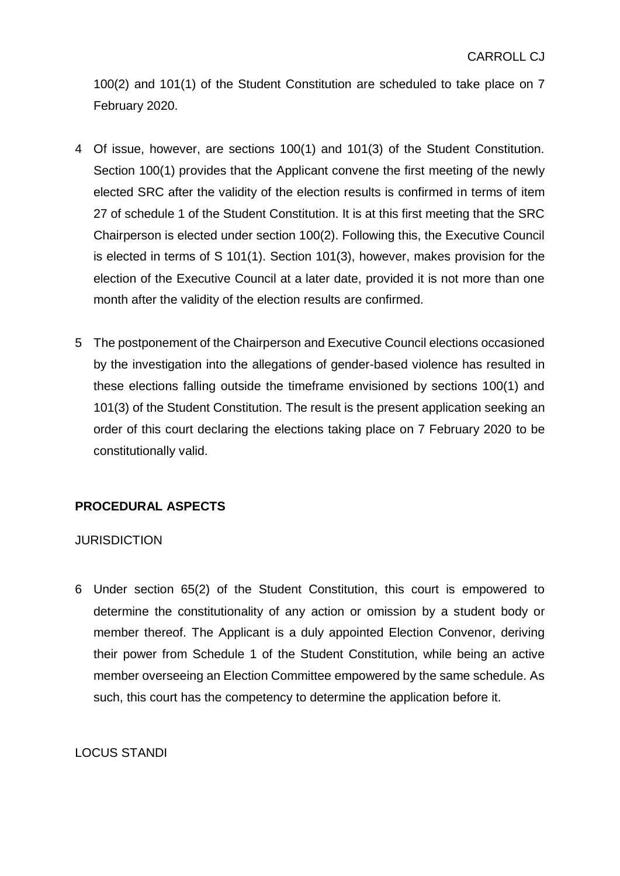100(2) and 101(1) of the Student Constitution are scheduled to take place on 7 February 2020.

- 4 Of issue, however, are sections 100(1) and 101(3) of the Student Constitution. Section 100(1) provides that the Applicant convene the first meeting of the newly elected SRC after the validity of the election results is confirmed in terms of item 27 of schedule 1 of the Student Constitution. It is at this first meeting that the SRC Chairperson is elected under section 100(2). Following this, the Executive Council is elected in terms of S 101(1). Section 101(3), however, makes provision for the election of the Executive Council at a later date, provided it is not more than one month after the validity of the election results are confirmed.
- 5 The postponement of the Chairperson and Executive Council elections occasioned by the investigation into the allegations of gender-based violence has resulted in these elections falling outside the timeframe envisioned by sections 100(1) and 101(3) of the Student Constitution. The result is the present application seeking an order of this court declaring the elections taking place on 7 February 2020 to be constitutionally valid.

## **PROCEDURAL ASPECTS**

#### **JURISDICTION**

6 Under section 65(2) of the Student Constitution, this court is empowered to determine the constitutionality of any action or omission by a student body or member thereof. The Applicant is a duly appointed Election Convenor, deriving their power from Schedule 1 of the Student Constitution, while being an active member overseeing an Election Committee empowered by the same schedule. As such, this court has the competency to determine the application before it.

#### LOCUS STANDI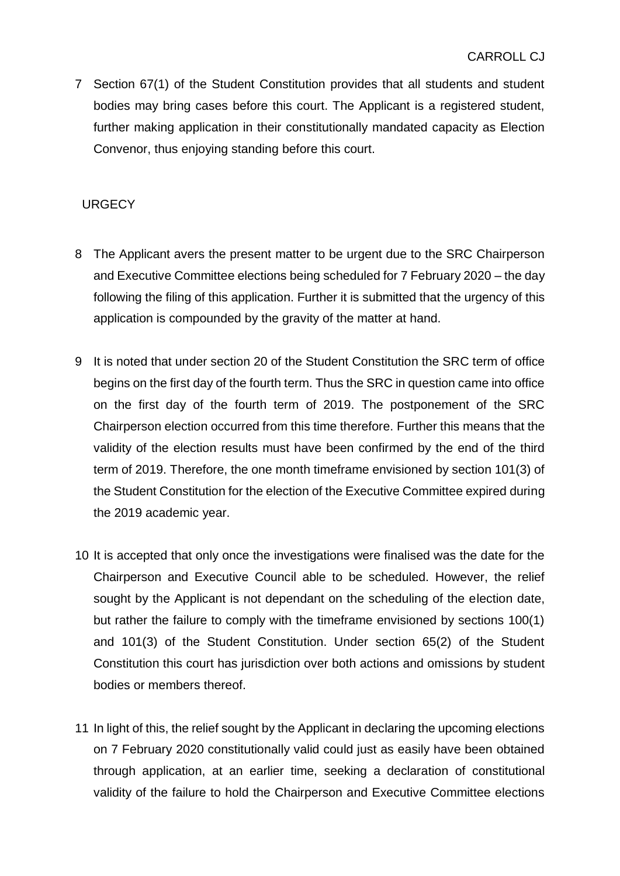7 Section 67(1) of the Student Constitution provides that all students and student bodies may bring cases before this court. The Applicant is a registered student, further making application in their constitutionally mandated capacity as Election Convenor, thus enjoying standing before this court.

## **URGECY**

- 8 The Applicant avers the present matter to be urgent due to the SRC Chairperson and Executive Committee elections being scheduled for 7 February 2020 – the day following the filing of this application. Further it is submitted that the urgency of this application is compounded by the gravity of the matter at hand.
- 9 It is noted that under section 20 of the Student Constitution the SRC term of office begins on the first day of the fourth term. Thus the SRC in question came into office on the first day of the fourth term of 2019. The postponement of the SRC Chairperson election occurred from this time therefore. Further this means that the validity of the election results must have been confirmed by the end of the third term of 2019. Therefore, the one month timeframe envisioned by section 101(3) of the Student Constitution for the election of the Executive Committee expired during the 2019 academic year.
- 10 It is accepted that only once the investigations were finalised was the date for the Chairperson and Executive Council able to be scheduled. However, the relief sought by the Applicant is not dependant on the scheduling of the election date, but rather the failure to comply with the timeframe envisioned by sections 100(1) and 101(3) of the Student Constitution. Under section 65(2) of the Student Constitution this court has jurisdiction over both actions and omissions by student bodies or members thereof.
- 11 In light of this, the relief sought by the Applicant in declaring the upcoming elections on 7 February 2020 constitutionally valid could just as easily have been obtained through application, at an earlier time, seeking a declaration of constitutional validity of the failure to hold the Chairperson and Executive Committee elections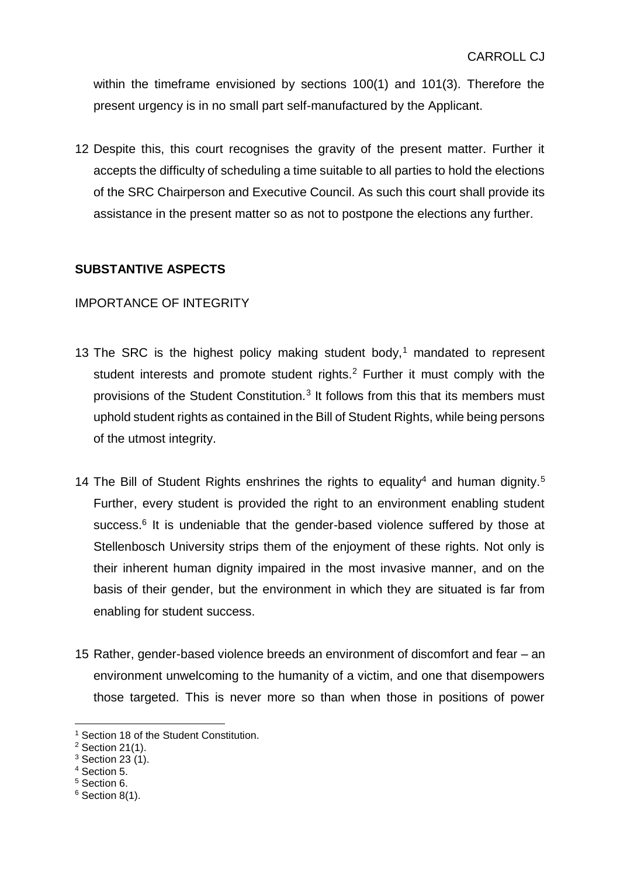within the timeframe envisioned by sections 100(1) and 101(3). Therefore the present urgency is in no small part self-manufactured by the Applicant.

12 Despite this, this court recognises the gravity of the present matter. Further it accepts the difficulty of scheduling a time suitable to all parties to hold the elections of the SRC Chairperson and Executive Council. As such this court shall provide its assistance in the present matter so as not to postpone the elections any further.

## **SUBSTANTIVE ASPECTS**

## IMPORTANCE OF INTEGRITY

- 13 The SRC is the highest policy making student body,<sup>1</sup> mandated to represent student interests and promote student rights.<sup>2</sup> Further it must comply with the provisions of the Student Constitution.<sup>3</sup> It follows from this that its members must uphold student rights as contained in the Bill of Student Rights, while being persons of the utmost integrity.
- 14 The Bill of Student Rights enshrines the rights to equality<sup>4</sup> and human dignity.<sup>5</sup> Further, every student is provided the right to an environment enabling student success.<sup>6</sup> It is undeniable that the gender-based violence suffered by those at Stellenbosch University strips them of the enjoyment of these rights. Not only is their inherent human dignity impaired in the most invasive manner, and on the basis of their gender, but the environment in which they are situated is far from enabling for student success.
- 15 Rather, gender-based violence breeds an environment of discomfort and fear an environment unwelcoming to the humanity of a victim, and one that disempowers those targeted. This is never more so than when those in positions of power

1

<sup>&</sup>lt;sup>1</sup> Section 18 of the Student Constitution.

 $2$  Section 21(1).

<sup>3</sup> Section 23 (1).

<sup>4</sup> Section 5.

<sup>5</sup> Section 6.

 $6$  Section 8(1).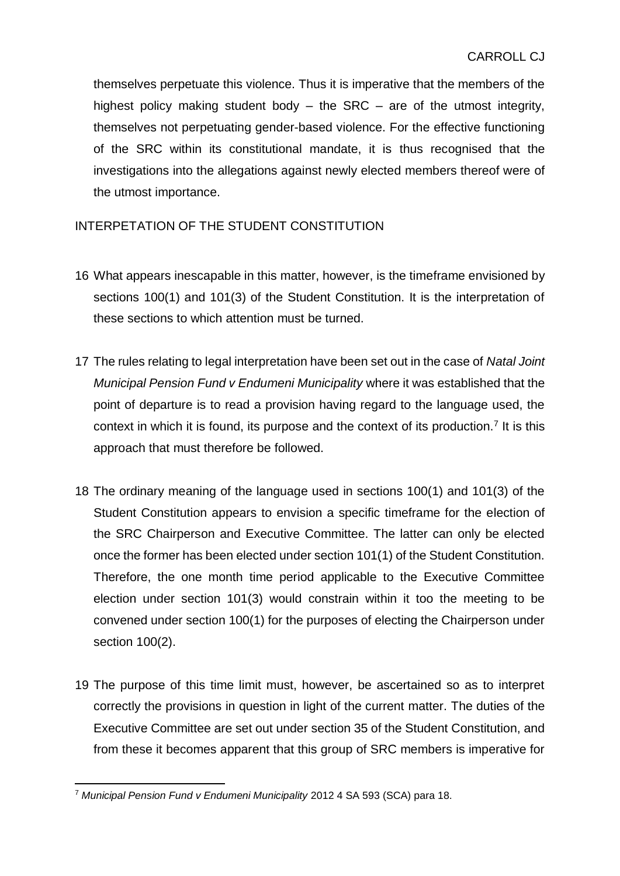themselves perpetuate this violence. Thus it is imperative that the members of the highest policy making student body – the SRC – are of the utmost integrity, themselves not perpetuating gender-based violence. For the effective functioning of the SRC within its constitutional mandate, it is thus recognised that the investigations into the allegations against newly elected members thereof were of the utmost importance.

## INTERPETATION OF THE STUDENT CONSTITUTION

- 16 What appears inescapable in this matter, however, is the timeframe envisioned by sections 100(1) and 101(3) of the Student Constitution. It is the interpretation of these sections to which attention must be turned.
- 17 The rules relating to legal interpretation have been set out in the case of *Natal Joint Municipal Pension Fund v Endumeni Municipality* where it was established that the point of departure is to read a provision having regard to the language used, the context in which it is found, its purpose and the context of its production.<sup>7</sup> It is this approach that must therefore be followed.
- 18 The ordinary meaning of the language used in sections 100(1) and 101(3) of the Student Constitution appears to envision a specific timeframe for the election of the SRC Chairperson and Executive Committee. The latter can only be elected once the former has been elected under section 101(1) of the Student Constitution. Therefore, the one month time period applicable to the Executive Committee election under section 101(3) would constrain within it too the meeting to be convened under section 100(1) for the purposes of electing the Chairperson under section 100(2).
- 19 The purpose of this time limit must, however, be ascertained so as to interpret correctly the provisions in question in light of the current matter. The duties of the Executive Committee are set out under section 35 of the Student Constitution, and from these it becomes apparent that this group of SRC members is imperative for

<sup>1</sup> <sup>7</sup> *Municipal Pension Fund v Endumeni Municipality* 2012 4 SA 593 (SCA) para 18.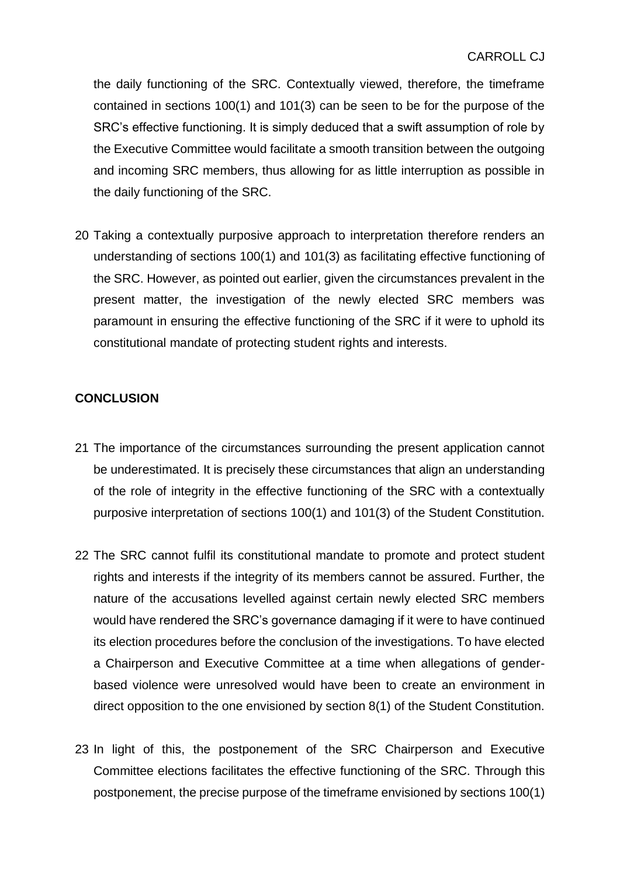the daily functioning of the SRC. Contextually viewed, therefore, the timeframe contained in sections 100(1) and 101(3) can be seen to be for the purpose of the SRC's effective functioning. It is simply deduced that a swift assumption of role by the Executive Committee would facilitate a smooth transition between the outgoing and incoming SRC members, thus allowing for as little interruption as possible in the daily functioning of the SRC.

20 Taking a contextually purposive approach to interpretation therefore renders an understanding of sections 100(1) and 101(3) as facilitating effective functioning of the SRC. However, as pointed out earlier, given the circumstances prevalent in the present matter, the investigation of the newly elected SRC members was paramount in ensuring the effective functioning of the SRC if it were to uphold its constitutional mandate of protecting student rights and interests.

# **CONCLUSION**

- 21 The importance of the circumstances surrounding the present application cannot be underestimated. It is precisely these circumstances that align an understanding of the role of integrity in the effective functioning of the SRC with a contextually purposive interpretation of sections 100(1) and 101(3) of the Student Constitution.
- 22 The SRC cannot fulfil its constitutional mandate to promote and protect student rights and interests if the integrity of its members cannot be assured. Further, the nature of the accusations levelled against certain newly elected SRC members would have rendered the SRC's governance damaging if it were to have continued its election procedures before the conclusion of the investigations. To have elected a Chairperson and Executive Committee at a time when allegations of genderbased violence were unresolved would have been to create an environment in direct opposition to the one envisioned by section 8(1) of the Student Constitution.
- 23 In light of this, the postponement of the SRC Chairperson and Executive Committee elections facilitates the effective functioning of the SRC. Through this postponement, the precise purpose of the timeframe envisioned by sections 100(1)